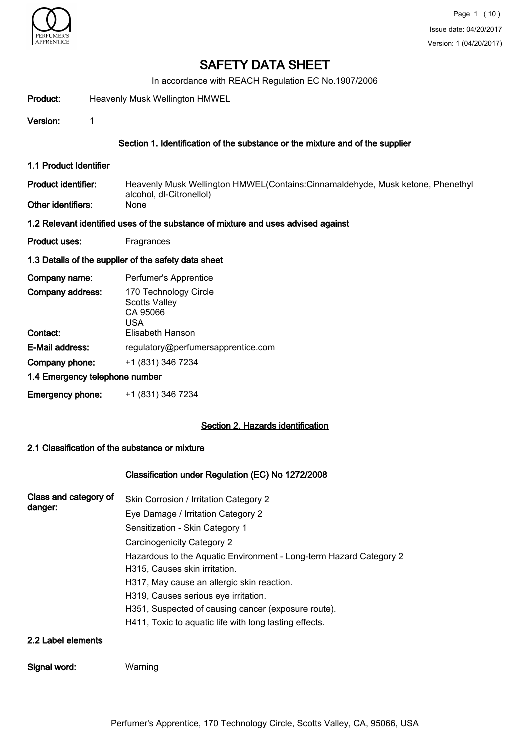

In accordance with REACH Regulation EC No.1907/2006

Product: Heavenly Musk Wellington HMWEL

Version: 1

# Section 1. Identification of the substance or the mixture and of the supplier

- 1.1 Product Identifier
- Heavenly Musk Wellington HMWEL(Contains:Cinnamaldehyde, Musk ketone, Phenethyl alcohol, dl-Citronellol) Product identifier:
- Other identifiers:

#### 1.2 Relevant identified uses of the substance of mixture and uses advised against

Product uses: Fragrances

# 1.3 Details of the supplier of the safety data sheet

| Company name:                  | Perfumer's Apprentice                                            |
|--------------------------------|------------------------------------------------------------------|
| Company address:               | 170 Technology Circle<br><b>Scotts Valley</b><br>CA 95066<br>USA |
| Contact:                       | Elisabeth Hanson                                                 |
| E-Mail address:                | regulatory@perfumersapprentice.com                               |
| Company phone:                 | +1 (831) 346 7234                                                |
| 1.4 Emergency telephone number |                                                                  |
| <b>Emergency phone:</b>        | +1 (831) 346 7234                                                |

# Section 2. Hazards identification

# 2.1 Classification of the substance or mixture

# Classification under Regulation (EC) No 1272/2008

| Class and category of<br>danger: | Skin Corrosion / Irritation Category 2<br>Eye Damage / Irritation Category 2 |  |  |  |  |
|----------------------------------|------------------------------------------------------------------------------|--|--|--|--|
|                                  |                                                                              |  |  |  |  |
|                                  | Sensitization - Skin Category 1                                              |  |  |  |  |
|                                  | Carcinogenicity Category 2                                                   |  |  |  |  |
|                                  | Hazardous to the Aquatic Environment - Long-term Hazard Category 2           |  |  |  |  |
|                                  | H315, Causes skin irritation.                                                |  |  |  |  |
|                                  | H317, May cause an allergic skin reaction.                                   |  |  |  |  |
|                                  | H319, Causes serious eye irritation.                                         |  |  |  |  |
|                                  | H351, Suspected of causing cancer (exposure route).                          |  |  |  |  |
|                                  | H411, Toxic to aquatic life with long lasting effects.                       |  |  |  |  |
| 2.2 Label elements               |                                                                              |  |  |  |  |
| Signal word:                     | Warning                                                                      |  |  |  |  |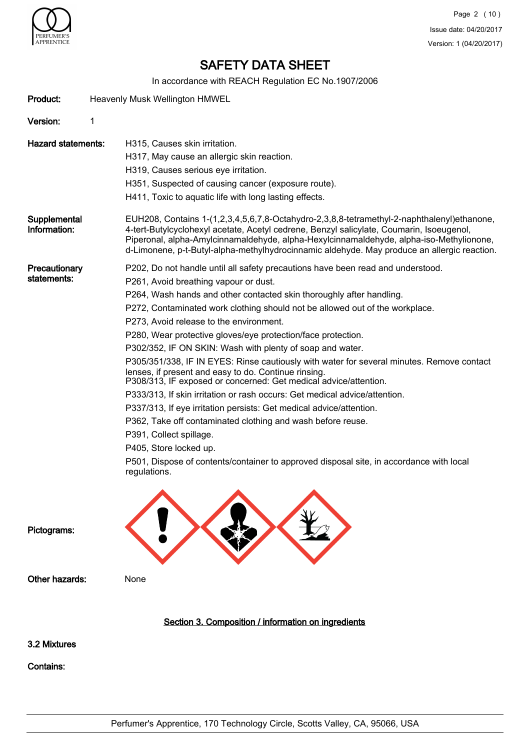

In accordance with REACH Regulation EC No.1907/2006

|                              | IN accordance with REACH Regulation EC NO. 1907/2006                                                                                                                                                                                                                                                                                                                             |
|------------------------------|----------------------------------------------------------------------------------------------------------------------------------------------------------------------------------------------------------------------------------------------------------------------------------------------------------------------------------------------------------------------------------|
| Product:                     | Heavenly Musk Wellington HMWEL                                                                                                                                                                                                                                                                                                                                                   |
| Version:                     | 1                                                                                                                                                                                                                                                                                                                                                                                |
| <b>Hazard statements:</b>    | H315, Causes skin irritation.                                                                                                                                                                                                                                                                                                                                                    |
|                              | H317, May cause an allergic skin reaction.                                                                                                                                                                                                                                                                                                                                       |
|                              | H319, Causes serious eye irritation.                                                                                                                                                                                                                                                                                                                                             |
|                              | H351, Suspected of causing cancer (exposure route).                                                                                                                                                                                                                                                                                                                              |
|                              | H411, Toxic to aquatic life with long lasting effects.                                                                                                                                                                                                                                                                                                                           |
| Supplemental<br>Information: | EUH208, Contains 1-(1,2,3,4,5,6,7,8-Octahydro-2,3,8,8-tetramethyl-2-naphthalenyl)ethanone,<br>4-tert-Butylcyclohexyl acetate, Acetyl cedrene, Benzyl salicylate, Coumarin, Isoeugenol,<br>Piperonal, alpha-Amylcinnamaldehyde, alpha-Hexylcinnamaldehyde, alpha-iso-Methylionone,<br>d-Limonene, p-t-Butyl-alpha-methylhydrocinnamic aldehyde. May produce an allergic reaction. |
| Precautionary                | P202, Do not handle until all safety precautions have been read and understood.                                                                                                                                                                                                                                                                                                  |
| statements:                  | P261, Avoid breathing vapour or dust.                                                                                                                                                                                                                                                                                                                                            |
|                              | P264, Wash hands and other contacted skin thoroughly after handling.                                                                                                                                                                                                                                                                                                             |
|                              | P272, Contaminated work clothing should not be allowed out of the workplace.                                                                                                                                                                                                                                                                                                     |
|                              | P273, Avoid release to the environment.                                                                                                                                                                                                                                                                                                                                          |
|                              | P280, Wear protective gloves/eye protection/face protection.                                                                                                                                                                                                                                                                                                                     |
|                              | P302/352, IF ON SKIN: Wash with plenty of soap and water.                                                                                                                                                                                                                                                                                                                        |
|                              | P305/351/338, IF IN EYES: Rinse cautiously with water for several minutes. Remove contact<br>lenses, if present and easy to do. Continue rinsing.<br>P308/313, IF exposed or concerned: Get medical advice/attention.                                                                                                                                                            |
|                              | P333/313, If skin irritation or rash occurs: Get medical advice/attention.                                                                                                                                                                                                                                                                                                       |
|                              | P337/313, If eye irritation persists: Get medical advice/attention.                                                                                                                                                                                                                                                                                                              |
|                              | P362, Take off contaminated clothing and wash before reuse.                                                                                                                                                                                                                                                                                                                      |
|                              | P391, Collect spillage.                                                                                                                                                                                                                                                                                                                                                          |
|                              | P405, Store locked up.                                                                                                                                                                                                                                                                                                                                                           |
|                              | P501, Dispose of contents/container to approved disposal site, in accordance with local<br>regulations.                                                                                                                                                                                                                                                                          |
| Pictograms:                  |                                                                                                                                                                                                                                                                                                                                                                                  |
| Other hazards:               | None                                                                                                                                                                                                                                                                                                                                                                             |
|                              | Section 3. Composition / information on ingredients                                                                                                                                                                                                                                                                                                                              |
| 3.2 Mixtures                 |                                                                                                                                                                                                                                                                                                                                                                                  |
| <b>Contains:</b>             |                                                                                                                                                                                                                                                                                                                                                                                  |
|                              |                                                                                                                                                                                                                                                                                                                                                                                  |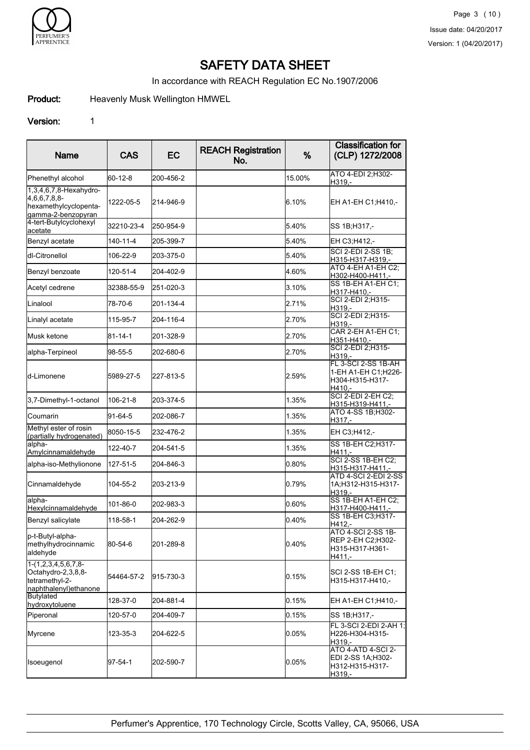

In accordance with REACH Regulation EC No.1907/2006

Product: Heavenly Musk Wellington HMWEL

# Version: 1

| Name                                                                                    | <b>CAS</b>    | EC        | <b>REACH Registration</b><br>No. | %        | <b>Classification for</b><br>(CLP) 1272/2008                                 |
|-----------------------------------------------------------------------------------------|---------------|-----------|----------------------------------|----------|------------------------------------------------------------------------------|
| Phenethyl alcohol                                                                       | 60-12-8       | 200-456-2 |                                  | 15.00%   | ATO 4-EDI 2;H302-<br>H319,-                                                  |
| 1,3,4,6,7,8-Hexahydro-<br>4,6,6,7,8,8-<br>hexamethylcyclopenta-<br>gamma-2-benzopyran   | 1222-05-5     | 214-946-9 |                                  | 6.10%    | EH A1-EH C1;H410,-                                                           |
| 4-tert-Butylcyclohexyl<br>acetate                                                       | 32210-23-4    | 250-954-9 |                                  | 5.40%    | SS 1B;H317,-                                                                 |
| Benzyl acetate                                                                          | 140-11-4      | 205-399-7 |                                  | 5.40%    | EH C3:H412.-                                                                 |
| Idl-Citronellol                                                                         | 106-22-9      | 203-375-0 |                                  | 5.40%    | <b>SCI 2-EDI 2-SS 1B;</b><br>H315-H317-H319,-                                |
| Benzyl benzoate                                                                         | 120-51-4      | 204-402-9 |                                  | 4.60%    | ATO 4-EH A1-EH C2:<br>H302-H400-H411,-                                       |
| Acetyl cedrene                                                                          | 32388-55-9    | 251-020-3 |                                  | 3.10%    | SS 1B-EH A1-EH C1;<br>H317-H410,-                                            |
| Linalool                                                                                | 78-70-6       | 201-134-4 |                                  | 2.71%    | SCI 2-EDI 2;H315-<br>H319,-                                                  |
| Linalyl acetate                                                                         | 115-95-7      | 204-116-4 |                                  | 2.70%    | SCI 2-EDI 2:H315-<br>H319.-                                                  |
| <b>I</b> Musk ketone                                                                    | $81 - 14 - 1$ | 201-328-9 |                                  | 2.70%    | CAR 2-EH A1-EH C1;<br>H351-H410,-                                            |
| alpha-Terpineol                                                                         | 98-55-5       | 202-680-6 |                                  | 2.70%    | SCI 2-EDI 2:H315-<br>H319.-                                                  |
| ld-Limonene                                                                             | 5989-27-5     | 227-813-5 |                                  | 2.59%    | FL 3-SCI 2-SS 1B-AH<br>1-EH A1-EH C1;H226-<br>H304-H315-H317-<br>H410.-      |
| 3,7-Dimethyl-1-octanol                                                                  | 106-21-8      | 203-374-5 |                                  | 1.35%    | SCI 2-EDI 2-EH C2:<br>H315-H319-H411,-                                       |
| Coumarin                                                                                | $91-64-5$     | 202-086-7 |                                  | 1.35%    | ATO 4-SS 1B; H302-<br>H317.-                                                 |
| Methyl ester of rosin<br>(partially hydrogenated)                                       | 8050-15-5     | 232-476-2 |                                  | 1.35%    | EH C3;H412,-                                                                 |
| alpha-<br>Amylcinnamaldehyde                                                            | 122-40-7      | 204-541-5 |                                  | 1.35%    | SS 1B-EH C2;H317-<br>H411.-                                                  |
| alpha-iso-Methylionone                                                                  | 127-51-5      | 204-846-3 |                                  | 0.80%    | <b>SCI 2-SS 1B-EH C2:</b><br>H315-H317-H411,-                                |
| Cinnamaldehyde                                                                          | 104-55-2      | 203-213-9 |                                  | 0.79%    | ATD 4-SCI 2-EDI 2-SS<br>1A;H312-H315-H317-<br>H319.-                         |
| alpha-<br>Hexylcinnamaldehyde                                                           | 101-86-0      | 202-983-3 |                                  | 0.60%    | SS 1B-EH A1-EH C2;<br>H317-H400-H411,-                                       |
| Benzyl salicylate                                                                       | 118-58-1      | 204-262-9 |                                  | 0.40%    | SS 1B-EH C3; H317-<br>H412,-                                                 |
| p-t-Butyl-alpha-<br>methylhydrocinnamic<br>aldehyde                                     | 80-54-6       | 201-289-8 |                                  | 0.40%    | <b>ATO 4-SCI 2-SS 1B-</b><br> REP 2-EH C2;H302-<br>H315-H317-H361-<br>H411.- |
| $1-(1,2,3,4,5,6,7,8-$<br>Octahydro-2,3,8,8-<br>tetramethyl-2-<br>naphthalenyl) ethanone | 54464-57-2    | 915-730-3 | 0.15%                            |          | SCI 2-SS 1B-EH C1:<br>H315-H317-H410,-                                       |
| Butylated<br>hydroxytoluene                                                             | 128-37-0      | 204-881-4 |                                  | 0.15%    | EH A1-EH C1;H410,-                                                           |
| Piperonal                                                                               | 120-57-0      | 204-409-7 |                                  | 0.15%    | SS 1B;H317,-                                                                 |
| Myrcene                                                                                 | 123-35-3      | 204-622-5 |                                  | $0.05\%$ | FL 3-SCI 2-EDI 2-AH 1:<br>H226-H304-H315-<br>H319.-                          |
| Isoeugenol                                                                              | 97-54-1       | 202-590-7 | 0.05%<br>H319,-                  |          | ATO 4-ATD 4-SCI 2-<br>EDI 2-SS 1A:H302-<br>H312-H315-H317-                   |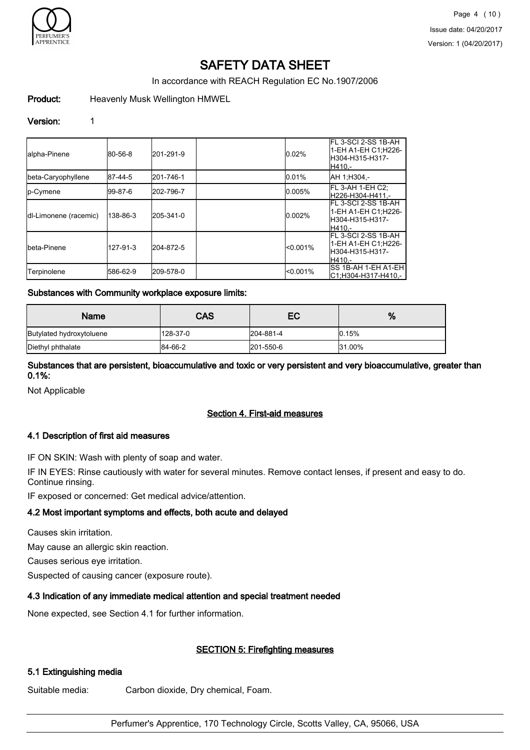

In accordance with REACH Regulation EC No.1907/2006

# Product: Heavenly Musk Wellington HMWEL

#### Version: 1

| lalpha-Pinene         | 80-56-8  | 201-291-9 | 0.02%       | FL 3-SCI 2-SS 1B-AH<br>l1-EH A1-EH C1:H226-<br>IH304-H315-H317-<br>H410.- |
|-----------------------|----------|-----------|-------------|---------------------------------------------------------------------------|
| beta-Caryophyllene    | 87-44-5  | 201-746-1 | 0.01%       | AH 1:H304.-                                                               |
| <b>I</b> p-Cymene     | 199-87-6 | 202-796-7 | 0.005%      | IFL 3-AH 1-EH C2:<br>H226-H304-H411.-                                     |
| dl-Limonene (racemic) | 138-86-3 | 205-341-0 | 0.002%      | IFL 3-SCI 2-SS 1B-AH<br>1-EH A1-EH C1:H226-<br>IH304-H315-H317-<br>H410 - |
| Ibeta-Pinene          | 127-91-3 | 204-872-5 | $< 0.001\%$ | FL 3-SCI 2-SS 1B-AH<br>l1-EH A1-EH C1:H226-<br>H304-H315-H317-<br>H410.-  |
| Terpinolene           | 586-62-9 | 209-578-0 | < 0.001%    | <b>SS 1B-AH 1-EH A1-EH</b><br>C1;H304-H317-H410,-                         |

#### Substances with Community workplace exposure limits:

| <b>Name</b>              | CAS      | EC        | %      |
|--------------------------|----------|-----------|--------|
| Butylated hydroxytoluene | 128-37-0 | 204-881-4 | 0.15%  |
| Diethyl phthalate        | 84-66-2  | 201-550-6 | 31.00% |

Substances that are persistent, bioaccumulative and toxic or very persistent and very bioaccumulative, greater than 0.1%:

Not Applicable

# Section 4. First-aid measures

# 4.1 Description of first aid measures

IF ON SKIN: Wash with plenty of soap and water.

IF IN EYES: Rinse cautiously with water for several minutes. Remove contact lenses, if present and easy to do. Continue rinsing.

IF exposed or concerned: Get medical advice/attention.

# 4.2 Most important symptoms and effects, both acute and delayed

Causes skin irritation.

May cause an allergic skin reaction.

Causes serious eye irritation.

Suspected of causing cancer (exposure route).

# 4.3 Indication of any immediate medical attention and special treatment needed

None expected, see Section 4.1 for further information.

# SECTION 5: Firefighting measures

# 5.1 Extinguishing media

Suitable media: Carbon dioxide, Dry chemical, Foam.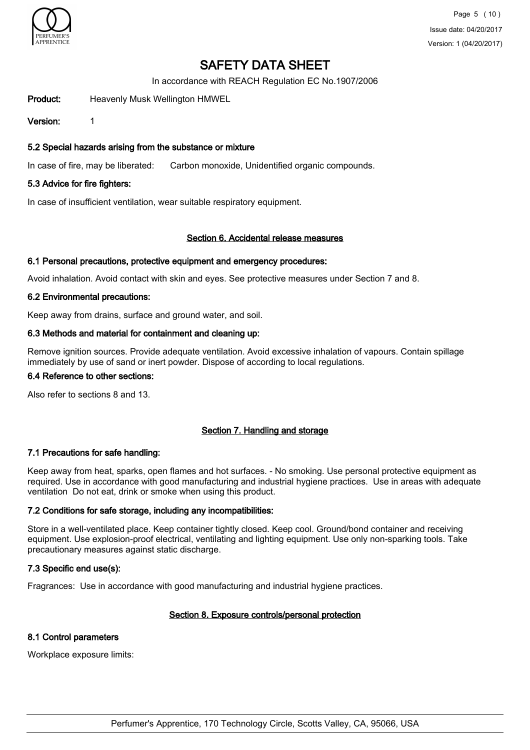

In accordance with REACH Regulation EC No.1907/2006

Product: Heavenly Musk Wellington HMWEL

Version: 1

# 5.2 Special hazards arising from the substance or mixture

In case of fire, may be liberated: Carbon monoxide, Unidentified organic compounds.

# 5.3 Advice for fire fighters:

In case of insufficient ventilation, wear suitable respiratory equipment.

# Section 6. Accidental release measures

#### 6.1 Personal precautions, protective equipment and emergency procedures:

Avoid inhalation. Avoid contact with skin and eyes. See protective measures under Section 7 and 8.

# 6.2 Environmental precautions:

Keep away from drains, surface and ground water, and soil.

# 6.3 Methods and material for containment and cleaning up:

Remove ignition sources. Provide adequate ventilation. Avoid excessive inhalation of vapours. Contain spillage immediately by use of sand or inert powder. Dispose of according to local regulations.

# 6.4 Reference to other sections:

Also refer to sections 8 and 13.

# Section 7. Handling and storage

# 7.1 Precautions for safe handling:

Keep away from heat, sparks, open flames and hot surfaces. - No smoking. Use personal protective equipment as required. Use in accordance with good manufacturing and industrial hygiene practices. Use in areas with adequate ventilation Do not eat, drink or smoke when using this product.

# 7.2 Conditions for safe storage, including any incompatibilities:

Store in a well-ventilated place. Keep container tightly closed. Keep cool. Ground/bond container and receiving equipment. Use explosion-proof electrical, ventilating and lighting equipment. Use only non-sparking tools. Take precautionary measures against static discharge.

# 7.3 Specific end use(s):

Fragrances: Use in accordance with good manufacturing and industrial hygiene practices.

# Section 8. Exposure controls/personal protection

# 8.1 Control parameters

Workplace exposure limits: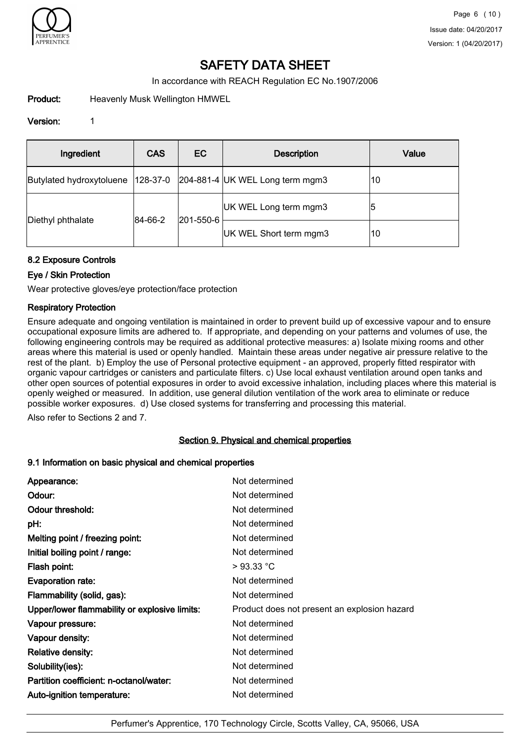

In accordance with REACH Regulation EC No.1907/2006

Product: Heavenly Musk Wellington HMWEL

# Version: 1

| Ingredient               | <b>CAS</b> | EC        | <b>Description</b>                | Value |
|--------------------------|------------|-----------|-----------------------------------|-------|
| Butylated hydroxytoluene | 128-37-0   |           | $204-881-4$ UK WEL Long term mgm3 | 10    |
|                          | 84-66-2    |           | UK WEL Long term mgm3             | 15    |
| Diethyl phthalate        |            | 201-550-6 | UK WEL Short term mgm3            | 10    |

# 8.2 Exposure Controls

# Eye / Skin Protection

Wear protective gloves/eye protection/face protection

# Respiratory Protection

Ensure adequate and ongoing ventilation is maintained in order to prevent build up of excessive vapour and to ensure occupational exposure limits are adhered to. If appropriate, and depending on your patterns and volumes of use, the following engineering controls may be required as additional protective measures: a) Isolate mixing rooms and other areas where this material is used or openly handled. Maintain these areas under negative air pressure relative to the rest of the plant. b) Employ the use of Personal protective equipment - an approved, properly fitted respirator with organic vapour cartridges or canisters and particulate filters. c) Use local exhaust ventilation around open tanks and other open sources of potential exposures in order to avoid excessive inhalation, including places where this material is openly weighed or measured. In addition, use general dilution ventilation of the work area to eliminate or reduce possible worker exposures. d) Use closed systems for transferring and processing this material.

Also refer to Sections 2 and 7.

# Section 9. Physical and chemical properties

# 9.1 Information on basic physical and chemical properties

| Appearance:                                   | Not determined                               |
|-----------------------------------------------|----------------------------------------------|
| Odour:                                        | Not determined                               |
| Odour threshold:                              | Not determined                               |
| pH:                                           | Not determined                               |
| Melting point / freezing point:               | Not determined                               |
| Initial boiling point / range:                | Not determined                               |
| Flash point:                                  | >93.33 °C                                    |
| Evaporation rate:                             | Not determined                               |
| Flammability (solid, gas):                    | Not determined                               |
| Upper/lower flammability or explosive limits: | Product does not present an explosion hazard |
| Vapour pressure:                              | Not determined                               |
| Vapour density:                               | Not determined                               |
| <b>Relative density:</b>                      | Not determined                               |
| Solubility(ies):                              | Not determined                               |
| Partition coefficient: n-octanol/water:       | Not determined                               |
| Auto-ignition temperature:                    | Not determined                               |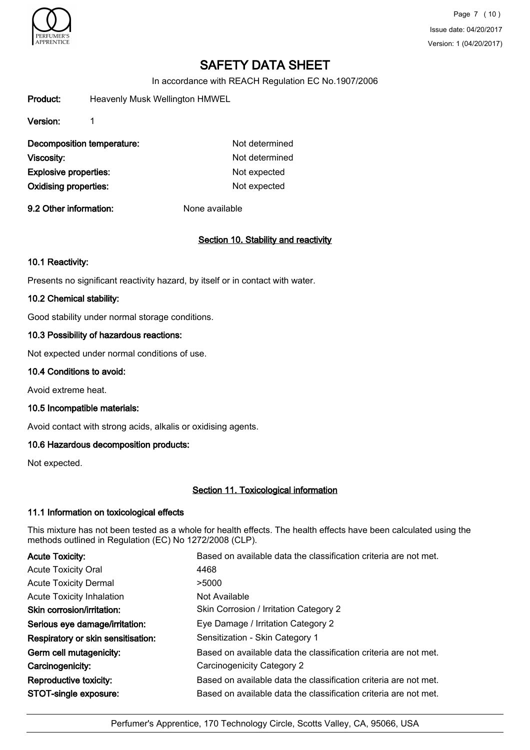

Page 7 (10) Issue date: 04/20/2017 Version: 1 (04/20/2017)

# SAFETY DATA SHEET

In accordance with REACH Regulation EC No.1907/2006

Product: Heavenly Musk Wellington HMWEL

Version: 1

| Decomposition temperature:   | Not determined |
|------------------------------|----------------|
| Viscosity:                   | Not determined |
| <b>Explosive properties:</b> | Not expected   |
| <b>Oxidising properties:</b> | Not expected   |

9.2 Other information: None available

# Section 10. Stability and reactivity

#### 10.1 Reactivity:

Presents no significant reactivity hazard, by itself or in contact with water.

# 10.2 Chemical stability:

Good stability under normal storage conditions.

# 10.3 Possibility of hazardous reactions:

Not expected under normal conditions of use.

#### 10.4 Conditions to avoid:

Avoid extreme heat.

# 10.5 Incompatible materials:

Avoid contact with strong acids, alkalis or oxidising agents.

# 10.6 Hazardous decomposition products:

Not expected.

# Section 11. Toxicological information

# 11.1 Information on toxicological effects

This mixture has not been tested as a whole for health effects. The health effects have been calculated using the methods outlined in Regulation (EC) No 1272/2008 (CLP).

| <b>Acute Toxicity:</b>             | Based on available data the classification criteria are not met. |
|------------------------------------|------------------------------------------------------------------|
| <b>Acute Toxicity Oral</b>         | 4468                                                             |
| <b>Acute Toxicity Dermal</b>       | >5000                                                            |
| <b>Acute Toxicity Inhalation</b>   | Not Available                                                    |
| Skin corrosion/irritation:         | Skin Corrosion / Irritation Category 2                           |
| Serious eye damage/irritation:     | Eye Damage / Irritation Category 2                               |
| Respiratory or skin sensitisation: | Sensitization - Skin Category 1                                  |
| Germ cell mutagenicity:            | Based on available data the classification criteria are not met. |
| Carcinogenicity:                   | Carcinogenicity Category 2                                       |
| Reproductive toxicity:             | Based on available data the classification criteria are not met. |
| STOT-single exposure:              | Based on available data the classification criteria are not met. |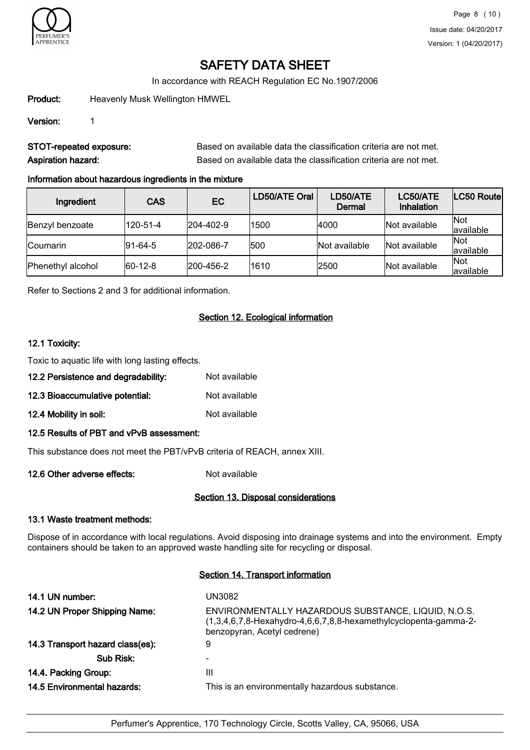

In accordance with REACH Regulation EC No.1907/2006

Product: Heavenly Musk Wellington HMWEL

Version: 1

STOT-repeated exposure: Based on available data the classification criteria are not met. Aspiration hazard: **Based on available data the classification criteria are not met.** 

# Information about hazardous ingredients in the mixture

| Ingredient        | <b>CAS</b>      | EC        | LD50/ATE Oral | LD50/ATE<br>Dermal | LC50/ATE<br><b>Inhalation</b> | LC50 Routel      |
|-------------------|-----------------|-----------|---------------|--------------------|-------------------------------|------------------|
| Benzyl benzoate   | 120-51-4        | 204-402-9 | 1500          | 4000               | Not available                 | Not<br>available |
| <b>Coumarin</b>   | $ 91 - 64 - 5 $ | 202-086-7 | 500           | Not available      | Not available                 | Not<br>available |
| Phenethyl alcohol | $ 60-12-8 $     | 200-456-2 | 1610          | 2500               | Not available                 | Not<br>available |

Refer to Sections 2 and 3 for additional information.

# Section 12. Ecological information

# 12.1 Toxicity:

Toxic to aquatic life with long lasting effects.

- 12.2 Persistence and degradability: Not available
- 12.3 Bioaccumulative potential: Not available
- 12.4 Mobility in soil: Not available
- 12.5 Results of PBT and vPvB assessment:

This substance does not meet the PBT/vPvB criteria of REACH, annex XIII.

12.6 Other adverse effects: Not available

# Section 13. Disposal considerations

# 13.1 Waste treatment methods:

Dispose of in accordance with local regulations. Avoid disposing into drainage systems and into the environment. Empty containers should be taken to an approved waste handling site for recycling or disposal.

# Section 14. Transport information

| 14.1 UN number:                  | UN3082                                                                                                                                                    |
|----------------------------------|-----------------------------------------------------------------------------------------------------------------------------------------------------------|
| 14.2 UN Proper Shipping Name:    | ENVIRONMENTALLY HAZARDOUS SUBSTANCE, LIQUID, N.O.S.<br>$(1,3,4,6,7,8$ -Hexahydro-4,6,6,7,8,8-hexamethylcyclopenta-gamma-2-<br>benzopyran, Acetyl cedrene) |
| 14.3 Transport hazard class(es): | 9                                                                                                                                                         |
| Sub Risk:                        |                                                                                                                                                           |
| 14.4. Packing Group:             | Ш                                                                                                                                                         |
| 14.5 Environmental hazards:      | This is an environmentally hazardous substance.                                                                                                           |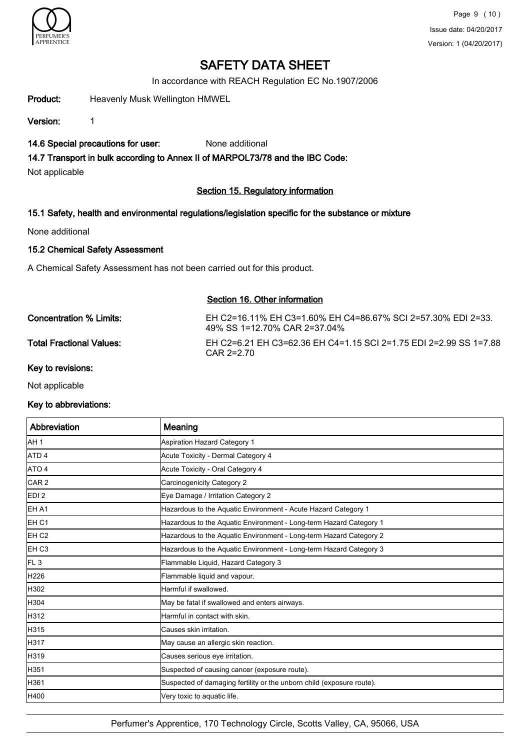

In accordance with REACH Regulation EC No.1907/2006

Product: Heavenly Musk Wellington HMWEL

Version: 1

# 14.6 Special precautions for user: None additional

# 14.7 Transport in bulk according to Annex II of MARPOL73/78 and the IBC Code:

Not applicable

# Section 15. Regulatory information

# 15.1 Safety, health and environmental regulations/legislation specific for the substance or mixture

None additional

# 15.2 Chemical Safety Assessment

A Chemical Safety Assessment has not been carried out for this product.

# Section 16. Other information

Concentration % Limits: EH C2=16.11% EH C3=1.60% EH C4=86.67% SCI 2=57.30% EDI 2=33. 49% SS 1=12.70% CAR 2=37.04% Total Fractional Values: EH C2=6.21 EH C3=62.36 EH C4=1.15 SCI 2=1.75 EDI 2=2.99 SS 1=7.88 CAR 2=2.70

Key to revisions:

Not applicable

# Key to abbreviations:

| Abbreviation      | Meaning                                                               |
|-------------------|-----------------------------------------------------------------------|
| AH 1              | <b>Aspiration Hazard Category 1</b>                                   |
| ATD <sub>4</sub>  | Acute Toxicity - Dermal Category 4                                    |
| ATO 4             | Acute Toxicity - Oral Category 4                                      |
| CAR <sub>2</sub>  | Carcinogenicity Category 2                                            |
| EDI <sub>2</sub>  | Eye Damage / Irritation Category 2                                    |
| IEH A1            | Hazardous to the Aquatic Environment - Acute Hazard Category 1        |
| EH C1             | Hazardous to the Aquatic Environment - Long-term Hazard Category 1    |
| IEH C2            | Hazardous to the Aquatic Environment - Long-term Hazard Category 2    |
| EH C <sub>3</sub> | Hazardous to the Aquatic Environment - Long-term Hazard Category 3    |
| FL <sub>3</sub>   | Flammable Liquid, Hazard Category 3                                   |
| H226              | Flammable liquid and vapour.                                          |
| <b>H</b> 302      | Harmful if swallowed.                                                 |
| H304              | May be fatal if swallowed and enters airways.                         |
| H312              | Harmful in contact with skin.                                         |
| H315              | Causes skin irritation.                                               |
| H317              | May cause an allergic skin reaction.                                  |
| H319              | Causes serious eye irritation.                                        |
| H351              | Suspected of causing cancer (exposure route).                         |
| H361              | Suspected of damaging fertility or the unborn child (exposure route). |
| H400              | Very toxic to aquatic life.                                           |